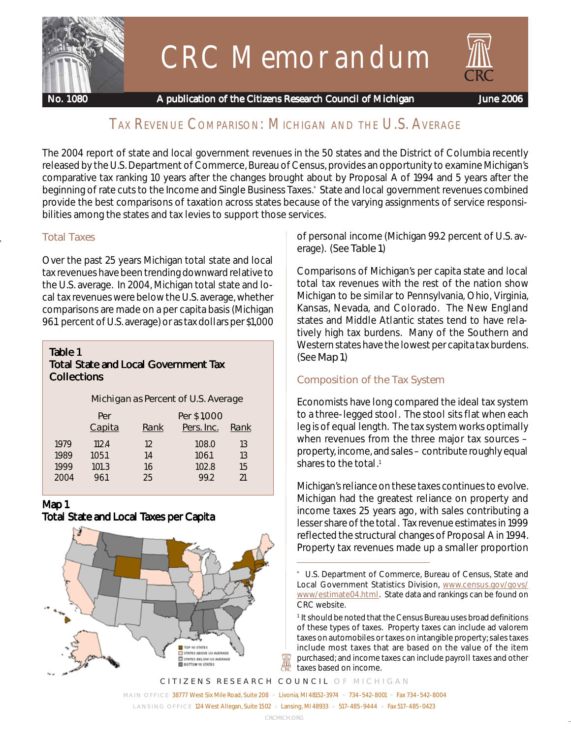

# CRC Memorandum



 **No. 1080 A publication of the Citizens Research Council of Michigan June 2006**

# TAX REVENUE COMPARISON: MICHIGAN AND THE U.S. AVERAGE

The 2004 report of state and local government revenues in the 50 states and the District of Columbia recently released by the U.S. Department of Commerce, Bureau of Census, provides an opportunity to examine Michigan's comparative tax ranking 10 years after the changes brought about by Proposal A of 1994 and 5 years after the beginning of rate cuts to the Income and Single Business Taxes.\* State and local government revenues combined provide the best comparisons of taxation across states because of the varying assignments of service responsibilities among the states and tax levies to support those services.

Over the past 25 years Michigan total state and local tax revenues have been trending downward relative to the U.S. average. In 2004, Michigan total state and local tax revenues were below the U.S. average, whether comparisons are made on a per capita basis (Michigan 96.1 percent of U.S. average) or as tax dollars per \$1,000

#### *Table 1 Total State and Local Government Tax Collections*

#### Michigan as Percent of U.S. Average

|      | Per<br>Capita | Rank | Per \$1,000<br>Pers. Inc. | Rank |
|------|---------------|------|---------------------------|------|
| 1979 | 112.4         | 12   | 108.0                     | 13   |
| 1989 | 105.1         | 14   | 106.1                     | 13   |
| 1999 | 101.3         | 16   | 102.8                     | 15   |
| 2004 | 96.1          | 25   | 992                       | 21   |

### *Map 1*

*Total State and Local Taxes per Capita*



**Total Taxes** of personal income (Michigan 99.2 percent of U.S. average). (See Table 1.)

> Comparisons of Michigan's per capita state and local total tax revenues with the rest of the nation show Michigan to be similar to Pennsylvania, Ohio, Virginia, Kansas, Nevada, and Colorado. The New England states and Middle Atlantic states tend to have relatively high tax burdens. Many of the Southern and Western states have the lowest per capita tax burdens. (See Map 1.)

### **Composition of the Tax System**

Economists have long compared the ideal tax system to a three-legged stool. The stool sits flat when each leg is of equal length. The tax system works optimally when revenues from the three major tax sources – property, income, and sales – contribute roughly equal shares to the total.<sup>1</sup>

Michigan's reliance on these taxes continues to evolve. Michigan had the greatest reliance on property and income taxes 25 years ago, with sales contributing a lesser share of the total. Tax revenue estimates in 1999 reflected the structural changes of Proposal A in 1994. Property tax revenues made up a smaller proportion

*CITIZENS RESEARCH COUNCIL OF MICHIGAN MAIN OFFICE* 38777 West Six Mile Road, Suite 208 n Livonia, MI 48152-3974 n 734-542-8001 n Fax 734-542-8004 *LANSING OFFICE* 124 West Allegan, Suite 1502 n Lansing, MI 48933 n 517-485-9444 n Fax 517-485-0423

₩

<sup>\*</sup> U.S. Department of Commerce, Bureau of Census, State and Local Government Statistics Division, www.census.gov/govs/ www/estimate04.html. State data and rankings can be found on CRC website.

<sup>&</sup>lt;sup>1</sup> It should be noted that the Census Bureau uses broad definitions of these types of taxes. Property taxes can include ad valorem taxes on automobiles or taxes on intangible property; sales taxes include most taxes that are based on the value of the item purchased; and income taxes can include payroll taxes and other taxes based on income.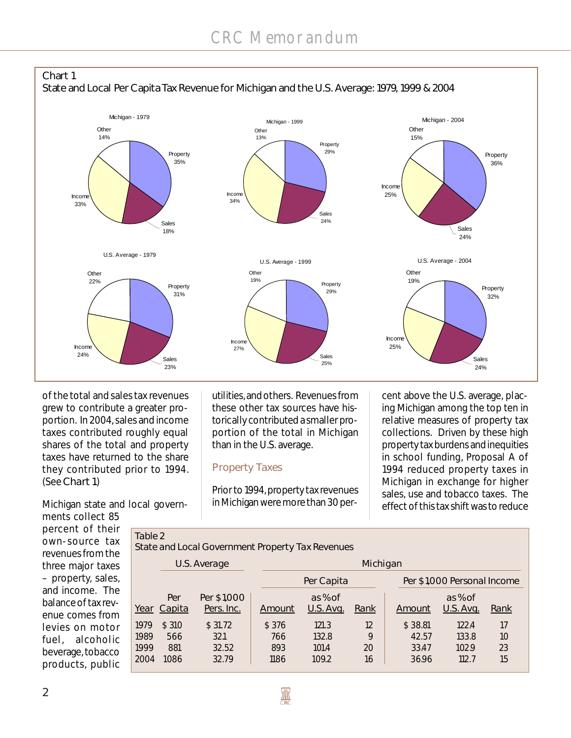

of the total and sales tax revenues grew to contribute a greater proportion. In 2004, sales and income taxes contributed roughly equal shares of the total and property taxes have returned to the share they contributed prior to 1994. (See Chart 1.)

Michigan state and local governments collect 85

Table 2

utilities, and others. Revenues from these other tax sources have historically contributed a smaller proportion of the total in Michigan than in the U.S. average.

#### **Property Taxes**

Prior to 1994, property tax revenues in Michigan were more than 30 per-

cent above the U.S. average, placing Michigan among the top ten in relative measures of property tax collections. Driven by these high property tax burdens and inequities in school funding, Proposal A of 1994 reduced property taxes in Michigan in exchange for higher sales, use and tobacco taxes. The effect of this tax shift was to reduce

percent of their own-source tax revenues from the three major taxes – property, sales, and income. The balance of tax revenue comes from levies on motor fuel, alcoholic beverage, tobacco products, public

State and Local Government Property Tax Revenues

|      |               | U.S. Average              | Michigan |                      |      |                             |                      |      |  |  |  |  |
|------|---------------|---------------------------|----------|----------------------|------|-----------------------------|----------------------|------|--|--|--|--|
|      |               |                           |          | Per Capita           |      | Per \$1,000 Personal Income |                      |      |  |  |  |  |
| Year | Per<br>Capita | Per \$1,000<br>Pers. Inc. | Amount   | as % of<br>U.S. Avg. | Rank | Amount                      | as % of<br>U.S. Avg. | Rank |  |  |  |  |
| 1979 | \$310         | \$31.72                   | \$376    | 121.3                | 12   | \$38.81                     | 122.4                | 17   |  |  |  |  |
| 1989 | 566           | 32.1                      | 766      | 132.8                | 9    | 42.57                       | 133.8                | 10   |  |  |  |  |
| 1999 | 881           | 32.52                     | 893      | 101.4                | 20   | 33.47                       | 102.9                | 23   |  |  |  |  |
| 2004 | 1086          | 32.79                     | 1186     | 109.2                | 16   | 36.96                       | 112.7                | 15   |  |  |  |  |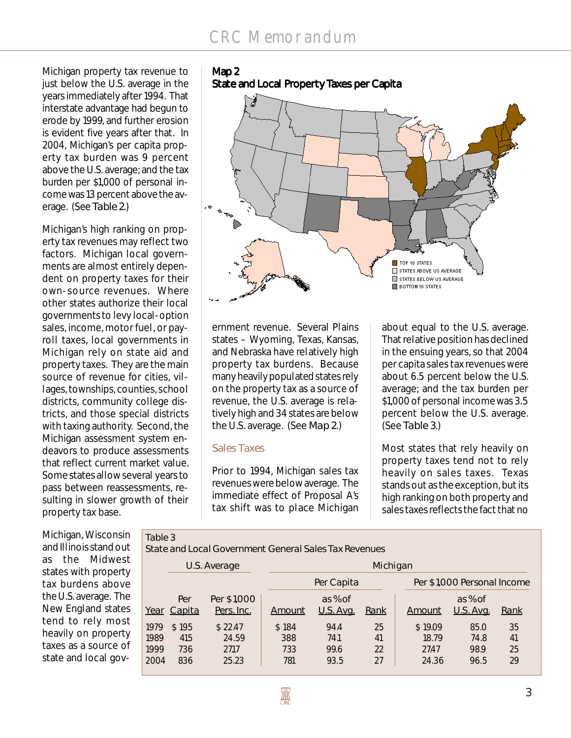# CRC Memorandum

Michigan property tax revenue to just below the U.S. average in the years immediately after 1994. That interstate advantage had begun to erode by 1999, and further erosion is evident five years after that. In 2004, Michigan's per capita property tax burden was 9 percent above the U.S. average; and the tax burden per \$1,000 of personal income was 13 percent above the average. (See Table 2.)

Michigan's high ranking on property tax revenues may reflect two factors. Michigan local governments are almost entirely dependent on property taxes for their own-source revenues. Where other states authorize their local governments to levy local-option sales, income, motor fuel, or payroll taxes, local governments in Michigan rely on state aid and property taxes. They are the main source of revenue for cities, villages, townships, counties, school districts, community college districts, and those special districts with taxing authority. Second, the Michigan assessment system endeavors to produce assessments that reflect current market value. Some states allow several years to pass between reassessments, resulting in slower growth of their property tax base.

Table 3

#### *Map 2 State and Local Property Taxes per Capita*



ernment revenue. Several Plains states – Wyoming, Texas, Kansas, and Nebraska have relatively high property tax burdens. Because many heavily populated states rely on the property tax as a source of revenue, the U.S. average is relatively high and 34 states are below the U.S. average. (See Map 2.)

#### **Sales Taxes**

Prior to 1994, Michigan sales tax revenues were below average. The immediate effect of Proposal A's tax shift was to place Michigan

about equal to the U.S. average. That relative position has declined in the ensuing years, so that 2004 per capita sales tax revenues were about 6.5 percent below the U.S. average; and the tax burden per \$1,000 of personal income was 3.5 percent below the U.S. average. (See Table 3.)

Most states that rely heavily on property taxes tend not to rely heavily on sales taxes. Texas stands out as the exception, but its high ranking on both property and sales taxes reflects the fact that no

Michigan, Wisconsin and Illinois stand out as the Midwest states with property tax burdens above the U.S. average. The New England states tend to rely most heavily on property taxes as a source of state and local gov-

State and Local Government General Sales Tax Revenues

|      |        | U.S. Average | Michigan |                  |      |                             |           |      |  |  |  |  |  |
|------|--------|--------------|----------|------------------|------|-----------------------------|-----------|------|--|--|--|--|--|
|      |        |              |          | Per Capita       |      | Per \$1,000 Personal Income |           |      |  |  |  |  |  |
|      | Per    | Per \$1,000  |          | as % of          |      |                             | as % of   |      |  |  |  |  |  |
| Year | Capita | Pers. Inc.   | Amount   | <u>U.S. Avg.</u> | Rank | Amount                      | U.S. Avg. | Rank |  |  |  |  |  |
| 1979 | \$195  | \$22.47      | \$184    | 94.4             | 25   | \$19.09                     | 85.0      | 35   |  |  |  |  |  |
| 1989 | 415    | 24.59        | 388      | 74.1             | 41   | 18.79                       | 74.8      | 41   |  |  |  |  |  |
| 1999 | 736    | 27.17        | 733      | 99.6             | 22   | 2747                        | 98.9      | 25   |  |  |  |  |  |
| 2004 | 836    | 25.23        | 781      | 93.5             | 27   | 24.36                       | 96.5      | 29   |  |  |  |  |  |
|      |        |              |          |                  |      |                             |           |      |  |  |  |  |  |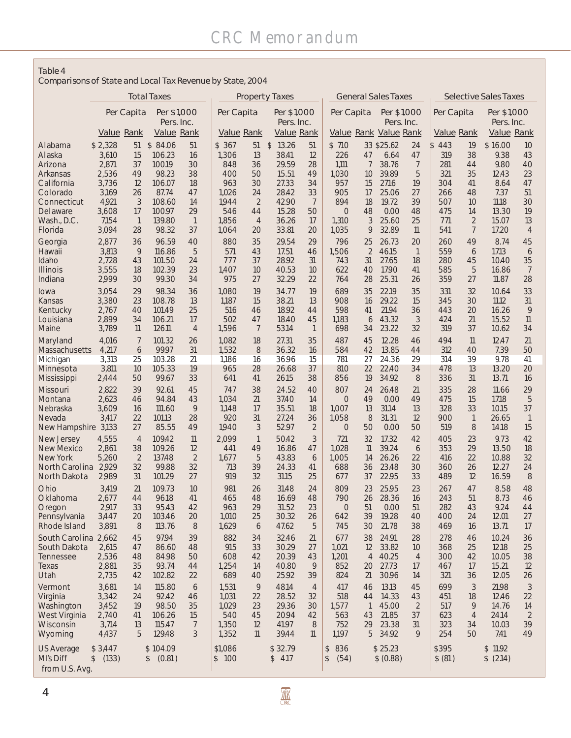#### Table 4

Comparisons of State and Local Tax Revenue by State, 2004

|                                | <b>Total Taxes</b>        |                      | <b>Property Taxes</b>     |                      |                                               | <b>General Sales Taxes</b> |                        |                      |                       | <b>Selective Sales Taxes</b>               |                |                          |            |                          |                |                                |
|--------------------------------|---------------------------|----------------------|---------------------------|----------------------|-----------------------------------------------|----------------------------|------------------------|----------------------|-----------------------|--------------------------------------------|----------------|--------------------------|------------|--------------------------|----------------|--------------------------------|
|                                | Per Capita<br>Per \$1,000 |                      | Per Capita<br>Per \$1,000 |                      |                                               | Per \$1,000<br>Per Capita  |                        |                      |                       | Per Capita<br>Per \$1,000                  |                |                          |            |                          |                |                                |
|                                | Value Rank                |                      | Pers. Inc.<br>Value Rank  |                      | Pers. Inc.<br>Value Rank<br><b>Value Rank</b> |                            |                        |                      |                       | Pers. Inc.<br><b>Value Rank Value Rank</b> |                | Value Rank               |            | Pers. Inc.               | Value Rank     |                                |
| Alabama                        | \$2,328                   | 51                   | \$84.06                   | 51                   | \$367                                         | 51                         | 13.26<br>$\mathcal{L}$ | 51                   | \$710                 |                                            | 33 \$25.62     | 24                       | \$443      | 19                       | \$16.00        | 10                             |
| Alaska                         | 3,610                     | 15                   | 106.23                    | 16                   | 1,306                                         | 13                         | 38.41                  | 12                   | 226                   | 47                                         | 6.64           | 47                       | 319        | 38                       | 9.38           | 43                             |
| Arizona<br>Arkansas            | 2,871<br>2,536            | 37<br>49             | 100.19<br>98.23           | 30<br>38             | 848<br>400                                    | 36<br>50                   | 29.59<br>15.51         | 28<br>49             | 1,111<br>1,030        | 7<br>10                                    | 38.76<br>39.89 | 7<br>5                   | 281<br>321 | 44<br>35                 | 9.80<br>12.43  | 40<br>23                       |
| California                     | 3,736                     | 12                   | 106.07                    | 18                   | 963                                           | 30                         | 27.33                  | 34                   | 957                   | 15                                         | 27.16          | 19                       | 304        | 41                       | 8.64           | 47                             |
| Colorado                       | 3,169                     | 26                   | 87.74                     | 47                   | 1,026                                         | 24                         | 28.42                  | 33                   | 905                   | 17                                         | 25.06          | 27                       | 266        | 48                       | 7.37           | 51                             |
| Connecticut<br>Delaware        | 4,921<br>3,608            | 3<br>17              | 108.60<br>100.97          | 14<br>29             | 1944<br>546                                   | $\overline{2}$<br>44       | 42.90<br>15.28         | 7<br>50              | 894<br>$\overline{0}$ | 18<br>48                                   | 19.72<br>0.00  | 39<br>48                 | 507<br>475 | 10<br>14                 | 11.18<br>13.30 | 30<br>19                       |
| Wash., D.C.                    | 7,154                     | $\mathbf{1}$         | 139.80                    | $\overline{1}$       | 1,856                                         | $\overline{4}$             | 36.26                  | 17                   | 1,310                 | 3                                          | 25.60          | 25                       | 771        | $\overline{2}$           | 15.07          | 13                             |
| Florida                        | 3,094                     | 28                   | 98.32                     | 37                   | 1,064                                         | 20                         | 33.81                  | 20                   | 1,035                 | 9                                          | 32.89          | $\mathsf{\overline{11}}$ | 541        | $\overline{7}$           | 17.20          | $\overline{4}$                 |
| Georgia<br>Hawaii              | 2,877<br>3,813            | 36<br>9              | 96.59<br>116.86           | 40<br>5              | 880<br>571                                    | 35<br>43                   | 29.54<br>17.51         | 29<br>46             | 796<br>1,506          | 25<br>$\overline{2}$                       | 26.73<br>46.15 | 20<br>$\overline{1}$     | 260<br>559 | 49<br>6                  | 8.74<br>17.13  | 45<br>6                        |
| Idaho                          | 2,728                     | 43                   | 101.50                    | 24                   | 777                                           | 37                         | 28.92                  | 31                   | 743                   | 31                                         | 27.65          | 18                       | 280        | 45                       | 10.40          | 35                             |
| <b>Illinois</b><br>Indiana     | 3,555<br>2,999            | 18<br>30             | 102.39<br>99.30           | 23<br>34             | 1,407<br>975                                  | 10<br>27                   | 40.53<br>32.29         | 10<br>22             | 622<br>764            | 40                                         | 17.90          | 41<br>26                 | 585<br>359 | 5<br>27                  | 16.86<br>11.87 | 7<br>28                        |
| lowa                           | 3,054                     | 29                   | 98.34                     | 36                   | 1,080                                         | 19                         | 34.77                  | 19                   | 689                   | 28<br>35                                   | 25.31<br>22.19 | 35                       | 331        | 32                       | 10.64          | 33                             |
| Kansas                         | 3,380                     | 23                   | 108.78                    | 13                   | 1,187                                         | 15                         | 38.21                  | 13                   | 908                   | 16                                         | 29.22          | 15                       | 345        | 30                       | 11.12          | 31                             |
| Kentucky                       | 2,767                     | 40                   | 101.49                    | 25                   | 516                                           | 46                         | 18.92                  | 44                   | 598                   | 41                                         | 21.94          | 36                       | 443        | 20                       | 16.26          | 9                              |
| Louisiana<br>Maine             | 2,899<br>3,789            | 34<br>11             | 106.21<br>126.11          | 17<br>$\overline{4}$ | 502<br>1,596                                  | 47<br>7                    | 18.40<br>53.14         | 45<br>$\mathbf{1}$   | 1,183<br>698          | 6<br>34                                    | 43.32<br>23.22 | 3<br>32                  | 424<br>319 | 21<br>37                 | 15.52<br>10.62 | $\mathsf{\overline{11}}$<br>34 |
| Maryland                       | 4,016                     | 7                    | 101.32                    | 26                   | 1,082                                         | 18                         | 27.31                  | 35                   | 487                   | 45                                         | 12.28          | 46                       | 494        | $\mathsf{\overline{11}}$ | 12.47          | 21                             |
| Massachusetts                  | 4,217                     | 6                    | 99.97                     | 31                   | 1,532                                         | 8                          | 36.32                  | 16                   | 584                   | 42                                         | 13.85          | 44                       | 312        | 40                       | 7.39           | 50                             |
| Michigan<br>Minnesota          | 3,313<br>3,811            | 25<br>10             | 103.28<br>105.33          | 21<br>19             | 1,186<br>965                                  | 16<br>28                   | 36.96<br>26.68         | 15<br>37             | 781<br>810            | 27<br>22                                   | 24.36<br>22.40 | 29<br>34                 | 314<br>478 | 39<br>13                 | 9.78<br>13.20  | 41<br>20                       |
| Mississippi                    | 2,444                     | 50                   | 99.67                     | 33                   | 641                                           | 41                         | 26.15                  | 38                   | 856                   | 19                                         | 34.92          | 8                        | 336        | 31                       | 13.71          | 16                             |
| Missouri<br>Montana            | 2,822<br>2,623            | 39<br>46             | 92.61<br>94.84            | 45<br>43             | 747<br>1,034                                  | 38<br>21                   | 24.52<br>37.40         | 40<br>14             | 807<br>0              | 24<br>49                                   | 26.48<br>0.00  | 21<br>49                 | 335<br>475 | 28<br>15                 | 11.66<br>17.18 | 29<br>5                        |
| <b>Nebraska</b>                | 3,609                     | 16                   | 111.60                    | 9                    | 1,148                                         | 17                         | 35.51                  | 18                   | 1,007                 | 13                                         | 31.14          | 13                       | 328        | 33                       | 10.15          | 37                             |
| Nevada                         | 3,417                     | 22                   | 101.13                    | 28                   | 920                                           | 31                         | 27.24                  | 36                   | 1,058                 | 8                                          | 31.31          | 12                       | 900        | $\mathbf{1}$             | 26.65          | $\mathbf{1}$                   |
| New Hampshire 3,133            | 4,555                     | 27<br>$\overline{4}$ | 85.55<br>109.42           | 49<br>11             | 1940<br>2.099                                 | 3<br>$\mathbf{1}$          | 52.97<br>50.42         | $\overline{2}$<br>3  | 0<br>721              | 50<br>32                                   | 0.00<br>17.32  | 50<br>42                 | 519<br>405 | 8<br>23                  | 14.18<br>9.73  | 15<br>42                       |
| New Jersey<br>New Mexico       | 2,861                     | 38                   | 109.26                    | 12                   | 441                                           | 49                         | 16.86                  | 47                   | 1,028                 | 11                                         | 39.24          | 6                        | 353        | 29                       | 13.50          | 18                             |
| New York                       | 5,260                     | $\overline{2}$       | 137.48                    | $\overline{2}$       | 1.677                                         | 5                          | 43.83                  | 6                    | 1,005                 | 14                                         | 26.26          | 22                       | 416        | 22                       | 10.88          | 32                             |
| North Carolina<br>North Dakota | 2,929<br>2,989            | 32<br>31             | 99.88<br>101.29           | 32<br>27             | 713<br>919                                    | 39<br>32                   | 24.33<br>31.15         | 41<br>25             | 688<br>677            | 36<br>37                                   | 23.48<br>22.95 | 30<br>33                 | 360<br>489 | 26<br>12                 | 12.27<br>16.59 | 24<br>8                        |
| Ohio                           | 3,419                     | 21                   | 109.73                    | 10                   | 981                                           | 26                         | 31.48                  | 24                   | 809                   | 23                                         | 25.95          | 23                       | 267        | 47                       | 8.58           | 48                             |
| Oklahoma                       | 2,677                     | 44                   | 96.18                     | 41                   | 465                                           | 48                         | 16.69                  | 48                   | 790                   | 26                                         | 28.36          | 16                       | 243        | 51                       | 8.73           | 46                             |
| Oregon<br>Pennsylvania         | 2,917<br>3,447            | 33<br>20             | 95.43<br>103.46           | 42<br>20             | 963<br>1,010                                  | 29<br>25                   | 31.52<br>30.32         | 23<br>26             | $\Omega$<br>642       | 51<br>39                                   | 0.00<br>19.28  | 51<br>40                 | 282<br>400 | 43<br>24                 | 9.24<br>12.01  | 44<br>27                       |
| Rhode Island                   | 3,891                     | 8                    | 113.76                    | 8                    | 1,629                                         | 6                          | 47.62                  | 5                    | 745                   | 30                                         | 21.78          | 38                       | 469        | 16                       | 13.71          | 17                             |
| South Carolina 2,662           |                           | 45                   | 97.94                     | 39                   | 882                                           | 34                         | 32.46                  | 21                   | 677                   | 38                                         | 24.91          | 28                       | 278        | 46                       | 10.24          | 36                             |
| South Dakota<br>Tennessee      | 2,615<br>2,536            | 47<br>48             | 86.60<br>84.98            | 48<br>50             | 915<br>608                                    | 33<br>42                   | 30.29<br>20.39         | 27<br>43             | 1,021<br>1,201        | 12<br>$\overline{4}$                       | 33.82<br>40.25 | 10<br>$\overline{4}$     | 368<br>300 | 25<br>42                 | 12.18<br>10.05 | 25<br>38                       |
| Texas                          | 2,881                     | 35                   | 93.74                     | 44                   | 1,254                                         | 14                         | 40.80                  | 9                    | 852                   | 20                                         | 27.73          | 17                       | 467        | 17                       | 15.21          | 12                             |
| Utah                           | 2,735                     | 42                   | 102.82                    | 22                   | 689                                           | 40                         | 25.92                  | 39                   | 824                   | 21                                         | 30.96          | 14                       | 321        | 36                       | 12.05          | 26                             |
| Vermont<br>Virginia            | 3,681<br>3,342            | 14<br>24             | 115.80<br>92.42           | 6<br>46              | 1,531<br>1,031                                | 9<br>22                    | 48.14<br>28.52         | $\overline{4}$<br>32 | 417<br>518            | 46<br>44                                   | 13.13<br>14.33 | 45<br>43                 | 699<br>451 | 3<br>18                  | 21.98<br>12.46 | $\mathfrak{Z}$<br>22           |
| Washington                     | 3,452                     | 19                   | 98.50                     | 35                   | 1,029                                         | 23                         | 29.36                  | 30                   | 1,577                 | $\overline{1}$                             | 45.00          | $\overline{2}$           | 517        | 9                        | 14.76          | 14                             |
| West Virginia<br>Wisconsin     | 2,740<br>3,714            | 41<br>13             | 106.26<br>115.47          | 15<br>7              | 540<br>1,350                                  | 45<br>12                   | 20.94<br>41.97         | 42<br>8              | 563<br>752            | 43<br>29                                   | 21.85<br>23.38 | 37<br>31                 | 623<br>323 | $\overline{4}$<br>34     | 24.14<br>10.03 | $\overline{2}$<br>39           |
| Wyoming                        | 4,437                     | 5                    | 129.48                    | 3                    | 1,352                                         | $\mathbb{1}$               | 39.44                  | 11                   | 1,197                 | 5                                          | 34.92          | 9                        | 254        | 50                       | 7.41           | 49                             |
| <b>US Average</b>              | \$3,447                   |                      | \$104.09                  |                      | \$1,086                                       |                            | \$32.79                |                      | 836<br>\$             |                                            | \$25.23        |                          | \$395      |                          | \$11.92        |                                |
| MI's Diff                      | \$ (133)                  |                      | \$ (0.81)                 |                      | \$100                                         |                            | \$4.17                 |                      | $\frac{1}{2}$<br>(54) |                                            | \$ (0.88)      |                          | \$ (81)    |                          | \$ (2.14)      |                                |
| from U.S. Avg.                 |                           |                      |                           |                      |                                               |                            |                        |                      |                       |                                            |                |                          |            |                          |                |                                |

*4*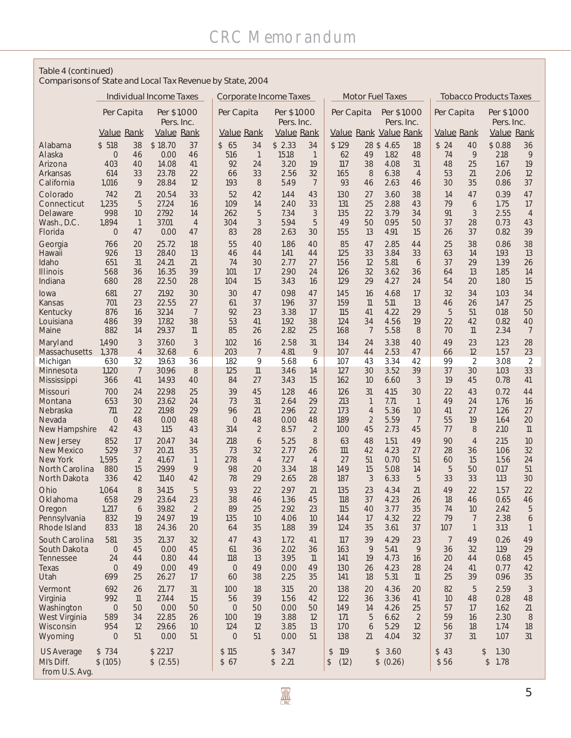#### Table 4 (continued)

Comparisons of State and Local Tax Revenue by State, 2004

|                              | <b>Individual Income Taxes</b>          |                      |                                         |                          | <b>Corporate Income Taxes</b> |                                         |              | <b>Motor Fuel Taxes</b> |                                |                                  |                           | <b>Tobacco Products Taxes</b> |                |                          |              |                          |
|------------------------------|-----------------------------------------|----------------------|-----------------------------------------|--------------------------|-------------------------------|-----------------------------------------|--------------|-------------------------|--------------------------------|----------------------------------|---------------------------|-------------------------------|----------------|--------------------------|--------------|--------------------------|
|                              | Per Capita<br>Per \$1,000<br>Pers. Inc. |                      | Per \$1,000<br>Per Capita<br>Pers. Inc. |                          |                               | Per \$1,000<br>Per Capita<br>Pers. Inc. |              |                         | Per Capita                     |                                  | Per \$1,000<br>Pers. Inc. |                               |                |                          |              |                          |
|                              | Value Rank                              |                      | Value Rank                              |                          | <b>Value Rank</b>             |                                         | Value Rank   |                         |                                |                                  | Value Rank Value Rank     |                               | Value Rank     |                          | Value Rank   |                          |
| Alabama                      | \$518                                   | 38                   | \$18.70                                 | 37                       | 65<br>$\mathbb{S}$            | 34                                      | \$2.33       | 34                      | \$129                          |                                  | 28 \$4.65                 | 18                            | \$24           | 40                       | \$0.88       | 36                       |
| Alaska                       | $\overline{0}$                          | 46                   | 0.00                                    | 46                       | 516                           | $\mathbf{1}$                            | 15.18        | $\overline{1}$          | 62                             | 49                               | 1.82                      | 48                            | 74             | 9                        | 2.18         | 9                        |
| Arizona<br>Arkansas          | 403<br>614                              | 40<br>33             | 14.08<br>23.78                          | 41<br>22                 | 92<br>66                      | 24<br>33                                | 3.20<br>2.56 | 19<br>32                | 117<br>165                     | 38<br>8                          | 4.08<br>6.38              | 31<br>$\overline{4}$          | 48<br>53       | 25<br>21                 | 1.67<br>2.06 | 19<br>12                 |
| California                   | 1,016                                   | 9                    | 28.84                                   | 12                       | 193                           | 8                                       | 5.49         | 7                       | 93                             | 46                               | 2.63                      | 46                            | 30             | 35                       | 0.86         | 37                       |
| Colorado                     | 742                                     | 21                   | 20.54                                   | 33                       | 52                            | 42                                      | 1.44         | 43                      | 130                            | 27                               | 3.60                      | 38                            | 14             | 47                       | 0.39         | 47                       |
| Connecticut                  | 1,235                                   | 5                    | 27.24                                   | 16                       | 109                           | 14                                      | 2.40         | 33                      | 131                            | 25                               | 2.88                      | 43                            | 79             | 6                        | 1.75         | 17                       |
| Delaware<br>Wash., D.C.      | 998<br>1,894                            | 10<br>$\overline{1}$ | 27.92<br>37.01                          | 14<br>$\overline{4}$     | 262<br>304                    | 5<br>3                                  | 7.34<br>5.94 | 3<br>5                  | 135<br>49                      | 22<br>50                         | 3.79<br>0.95              | 34<br>50                      | 91<br>37       | 3<br>28                  | 2.55<br>0.73 | $\overline{4}$<br>43     |
| Florida                      | $\circ$                                 | 47                   | 0.00                                    | 47                       | 83                            | 28                                      | 2.63         | 30                      | 155                            | 13                               | 4.91                      | 15                            | 26             | 37                       | 0.82         | 39                       |
| Georgia                      | 766                                     | 20                   | 25.72                                   | 18                       | 55                            | 40                                      | 1.86         | 40                      | 85                             | 47                               | 2.85                      | 44                            | 25             | 38                       | 0.86         | 38                       |
| Hawaii                       | 926                                     | 13                   | 28.40                                   | 13                       | 46                            | 44                                      | 1.41         | 44                      | 125                            | 33                               | 3.84                      | 33                            | 63             | 14                       | 1.93         | 13                       |
| Idaho<br><b>Illinois</b>     | 651<br>568                              | 31<br>36             | 24.21<br>16.35                          | 21<br>39                 | 74<br>101                     | 30<br>17                                | 2.77<br>2.90 | 27<br>24                | 156<br>126                     | 12<br>32                         | 5.81<br>3.62              | 6<br>36                       | 37<br>64       | 29<br>13                 | 1.39<br>1.85 | 26<br>14                 |
| Indiana                      | 680                                     | 28                   | 22.50                                   | 28                       | 104                           | 15                                      | 3.43         | 16                      | 129                            | 29                               | 4.27                      | 24                            | 54             | 20                       | 1.80         | 15                       |
| lowa                         | 681                                     | 27                   | 21.92                                   | 30                       | 30                            | 47                                      | 0.98         | 47                      | 145                            | 16                               | 4.68                      | 17                            | 32             | 34                       | 1.03         | 34                       |
| Kansas                       | 701                                     | 23                   | 22.55                                   | 27                       | 61                            | 37                                      | 1.96         | 37                      | 159                            | $\mathsf{\overline{11}}$         | 5.11                      | 13                            | 46             | 26                       | 1.47         | 25                       |
| Kentucky<br>Louisiana        | 876<br>486                              | 16<br>39             | 32.14<br>17.82                          | $\overline{7}$<br>38     | 92<br>53                      | 23<br>41                                | 3.38<br>1.92 | 17<br>38                | 115<br>124                     | 41<br>34                         | 4.22<br>4.56              | 29<br>19                      | 5<br>22        | 51<br>42                 | 0.18<br>0.82 | 50<br>40                 |
| Maine                        | 882                                     | 14                   | 29.37                                   | $\mathsf{\overline{11}}$ | 85                            | 26                                      | 2.82         | 25                      | 168                            | $\overline{7}$                   | 5.58                      | 8                             | 70             | $\mathsf{\overline{11}}$ | 2.34         | 7                        |
| Maryland                     | 1,490                                   | 3                    | 37.60                                   | 3                        | 102                           | 16                                      | 2.58         | 31                      | 134                            | 24                               | 3.38                      | 40                            | 49             | 23                       | 1.23         | 28                       |
| Massachusetts                | 1,378                                   | $\overline{4}$       | 32.68                                   | 6                        | 203                           | $\overline{7}$                          | 4.81         | 9                       | 107                            | 44                               | 2.53                      | 47                            | 66             | 12                       | 1.57         | 23                       |
| Michigan<br>Minnesota        | 630<br>1,120                            | 32<br>7              | 19.63<br>30.96                          | 36<br>8                  | 182<br>125                    | 9<br>11                                 | 5.68<br>3.46 | 6<br>14                 | 107<br>127                     | 43<br>30                         | 3.34<br>3.52              | 42<br>39                      | 99<br>37       | 2<br>30                  | 3.08<br>1.03 | 2<br>33                  |
| Mississippi                  | 366                                     | 41                   | 14.93                                   | 40                       | 84                            | 27                                      | 3.43         | 15                      | 162                            | 10                               | 6.60                      | 3                             | 19             | 45                       | 0.78         | 41                       |
| Missouri                     | 700                                     | 24                   | 22.98                                   | 25                       | 39                            | 45                                      | 1.28         | 46                      | 126                            | 31                               | 4.15                      | 30                            | 22             | 43                       | 0.72         | 44                       |
| Montana                      | 653                                     | 30                   | 23.62                                   | 24                       | 73                            | 31                                      | 2.64         | 29                      | 213                            | $\mathbf{1}$                     | 7.71                      | $\mathbf{1}$                  | 49             | 24                       | 1.76         | 16                       |
| <b>Nebraska</b><br>Nevada    | 711<br>$\Omega$                         | 22<br>48             | 21.98<br>0.00                           | 29<br>48                 | 96<br>$\overline{0}$          | 21<br>48                                | 2.96<br>0.00 | 22<br>48                | 173<br>189                     | $\overline{4}$<br>$\overline{2}$ | 5.36<br>5.59              | 10<br>7                       | 41<br>55       | 27<br>19                 | 1.26<br>1.64 | 27<br>20                 |
| New Hampshire                | 42                                      | 43                   | 1.15                                    | 43                       | 314                           | $\overline{2}$                          | 8.57         | $\overline{2}$          | 100                            | 45                               | 2.73                      | 45                            | 77             | 8                        | 2.10         | $\mathsf{\overline{11}}$ |
| New Jersey                   | 852                                     | 17                   | 20.47                                   | 34                       | 218                           | 6                                       | 5.25         | 8                       | 63                             | 48                               | 1.51                      | 49                            | 90             | $\overline{4}$           | 2.15         | 10                       |
| <b>New Mexico</b>            | 529                                     | 37                   | 20.21                                   | 35                       | 73<br>278                     | 32                                      | 2.77         | 26                      | 111<br>27                      | 42                               | 4.23                      | 27                            | 28             | 36                       | 1.06         | 32                       |
| New York<br>North Carolina   | 1,595<br>880                            | $\overline{2}$<br>15 | 41.67<br>29.99                          | $\mathbf{1}$<br>9        | 98                            | $\overline{4}$<br>20                    | 7.27<br>3.34 | $\overline{4}$<br>18    | 149                            | 51<br>15                         | 0.70<br>5.08              | 51<br>14                      | 60<br>5        | 15<br>50                 | 1.56<br>0.17 | 24<br>51                 |
| North Dakota                 | 336                                     | 42                   | 11.40                                   | 42                       | 78                            | 29                                      | 2.65         | 28                      | 187                            | 3                                | 6.33                      | 5                             | 33             | 33                       | 1.13         | 30                       |
| Ohio                         | 1,064                                   | 8                    | 34.15                                   | 5                        | 93                            | 22                                      | 2.97         | 21                      | 135                            | 23                               | 4.34                      | 21                            | 49             | 22                       | 1.57         | 22                       |
| Oklahoma                     | 658                                     | 29                   | 23.64<br>39.82                          | 23<br>$\overline{2}$     | 38<br>89                      | 46<br>25                                | 1.36<br>2.92 | 45<br>23                | 118<br>115                     | 37<br>40                         | 4.23<br>3.77              | 26<br>35                      | 18<br>74       | 46                       | 0.65         | 46                       |
| Oregon<br>Pennsylvania       | 1,217<br>832                            | 6<br>19              | 24.97                                   | 19                       | 135                           | 10                                      | 4.06         | 10                      | 144                            | 17                               | 4.32                      | 22                            | 79             | 10<br>7                  | 2.42<br>2.38 | 5<br>6                   |
| Rhode Island                 | 833                                     | 18                   | 24.36                                   | 20                       | 64                            | 35                                      | 1.88         | 39                      | 124                            | 35                               | 3.61                      | 37                            | 107            | 1                        | 3.13         | $\mathbf{1}$             |
| South Carolina               | 581                                     | 35                   | 21.37                                   | 32                       | 47                            | 43                                      | 1.72         | 41                      | 117                            | 39                               | 4.29                      | 23                            | $\overline{7}$ | 49                       | 0.26         | 49                       |
| South Dakota<br>Tennessee    | $\overline{0}$<br>24                    | 45<br>44             | 0.00<br>0.80                            | 45<br>44                 | 61<br>118                     | 36<br>13                                | 2.02<br>3.95 | 36<br>$\mathbb{1}$      | 163<br>141                     | 9<br>19                          | 5.41<br>4.73              | 9<br>16                       | 36<br>20       | 32<br>44                 | 1.19<br>0.68 | 29<br>45                 |
| Texas                        | $\overline{O}$                          | 49                   | 0.00                                    | 49                       | $\circ$                       | 49                                      | 0.00         | 49                      | 130                            | 26                               | 4.23                      | 28                            | 24             | 41                       | 0.77         | 42                       |
| Utah                         | 699                                     | 25                   | 26.27                                   | 17                       | 60                            | 38                                      | 2.25         | 35                      | 141                            | 18                               | 5.31                      | $\eta$                        | 25             | 39                       | 0.96         | 35                       |
| Vermont                      | 692                                     | 26                   | 21.77                                   | 31                       | 100                           | 18                                      | 3.15         | 20                      | 138                            | 20                               | 4.36                      | 20                            | 82             | 5                        | 2.59         | $\mathcal{S}$            |
| Virginia<br>Washington       | 992<br>$\Omega$                         | $\mathbb{1}$<br>50   | 27.44<br>0.00                           | 15<br>50                 | 56<br>$\Omega$                | 39<br>50                                | 1.56<br>0.00 | 42<br>50                | 122<br>149                     | 36<br>14                         | 3.36<br>4.26              | 41<br>25                      | 10<br>57       | 48<br>17                 | 0.28<br>1.62 | 48<br>21                 |
| West Virginia                | 589                                     | 34                   | 22.85                                   | 26                       | 100                           | 19                                      | 3.88         | 12                      | 171                            | 5                                | 6.62                      | 2                             | 59             | 16                       | 2.30         | 8                        |
| Wisconsin                    | 954                                     | 12                   | 29.66                                   | 10                       | 124                           | 12                                      | 3.85         | 13                      | 170                            | 6                                | 5.29                      | 12                            | 56             | 18                       | 1.74         | 18                       |
| Wyoming                      | $\overline{0}$                          | 51                   | 0.00                                    | 51                       | $\overline{0}$                | 51                                      | 0.00         | 51                      | 138                            | 21                               | 4.04                      | 32                            | 37             | 31                       | 1.07         | 31                       |
| <b>US Average</b>            | \$734                                   |                      | \$22.17                                 |                          | \$115                         |                                         | 3.47<br>\$   |                         | 119<br>$\sqrt[6]{\frac{1}{2}}$ |                                  | \$3.60                    |                               | 43<br>\$       | \$                       | 1.30         |                          |
| MI's Diff.<br>from U.S. Avg. | \$ (105)                                |                      | \$ (2.55)                               |                          | 67<br>\$                      |                                         | 2.21<br>\$   |                         | (12)<br>\$                     |                                  | \$ (0.26)                 |                               | \$56           |                          | 1.78<br>\$   |                          |
|                              |                                         |                      |                                         |                          |                               |                                         |              |                         |                                |                                  |                           |                               |                |                          |              |                          |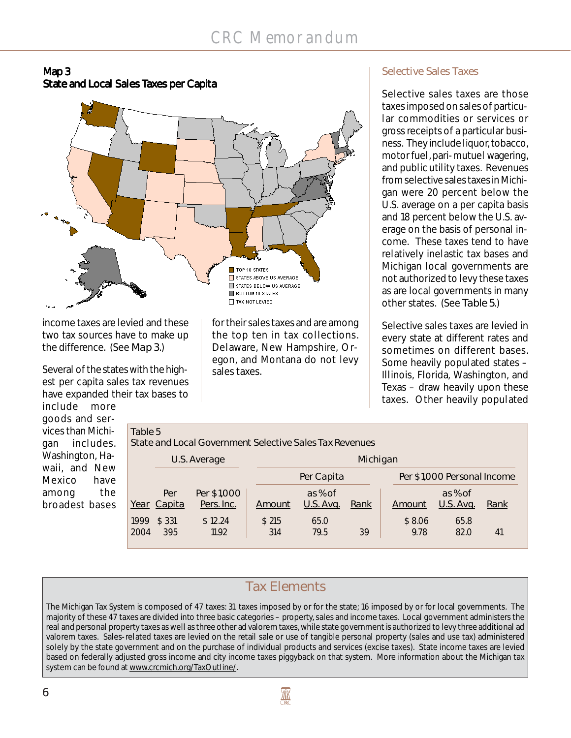



income taxes are levied and these two tax sources have to make up the difference. (See Map 3.)

Several of the states with the highest per capita sales tax revenues have expanded their tax bases to

include more goods and services than Mic gan includ Washington, waii, and N Mexico h among broadest ba

for their sales taxes and are among the top ten in tax collections. Delaware, New Hampshire, Oregon, and Montana do not levy sales taxes.

### **Selective Sales Taxes**

Selective sales taxes are those taxes imposed on sales of particular commodities or services or gross receipts of a particular business. They include liquor, tobacco, motor fuel, pari-mutuel wagering, and public utility taxes. Revenues from selective sales taxes in Michigan were 20 percent below the U.S. average on a per capita basis and 18 percent below the U.S. average on the basis of personal income. These taxes tend to have relatively inelastic tax bases and Michigan local governments are not authorized to levy these taxes as are local governments in many other states. (See Table 5.)

Selective sales taxes are levied in every state at different rates and sometimes on different bases. Some heavily populated states – Illinois, Florida, Washington, and Texas – draw heavily upon these taxes. Other heavily populated

|                    |             |              | Michigan         |             |                                                                       |           |      |                             |  |  |  |  |
|--------------------|-------------|--------------|------------------|-------------|-----------------------------------------------------------------------|-----------|------|-----------------------------|--|--|--|--|
|                    |             |              |                  |             |                                                                       |           |      |                             |  |  |  |  |
|                    |             |              |                  |             |                                                                       |           |      |                             |  |  |  |  |
| Per                | Per \$1,000 |              | as % of          |             |                                                                       | as % of   |      |                             |  |  |  |  |
| <u>Year</u> Capita | Pers. Inc.  | Amount       | <b>U.S. Avg.</b> | <u>Rank</u> | Amount                                                                | U.S. Avg. | Rank |                             |  |  |  |  |
| \$331<br>1999      | \$12.24     | \$215        | 65.0             |             | \$8.06                                                                | 65.8      |      |                             |  |  |  |  |
| 395<br>2004        | 11.92       | 314          | 79.5             | 39          | 9.78                                                                  | 82.0      | 41   |                             |  |  |  |  |
|                    |             | U.S. Average | Table 5          |             | State and Local Government Selective Sales Tax Revenues<br>Per Capita |           |      | Per \$1,000 Personal Income |  |  |  |  |

## **Tax Elements**

The Michigan Tax System is composed of 47 taxes: 31 taxes imposed by or for the state; 16 imposed by or for local governments. The majority of these 47 taxes are divided into three basic categories – property, sales and income taxes. Local government administers the real and personal property taxes as well as three other ad valorem taxes, while state government is authorized to levy three additional ad valorem taxes. Sales-related taxes are levied on the retail sale or use of tangible personal property (sales and use tax) administered solely by the state government and on the purchase of individual products and services (excise taxes). State income taxes are levied based on federally adjusted gross income and city income taxes piggyback on that system. More information about the Michigan tax system can be found at www.crcmich.org/TaxOutline/.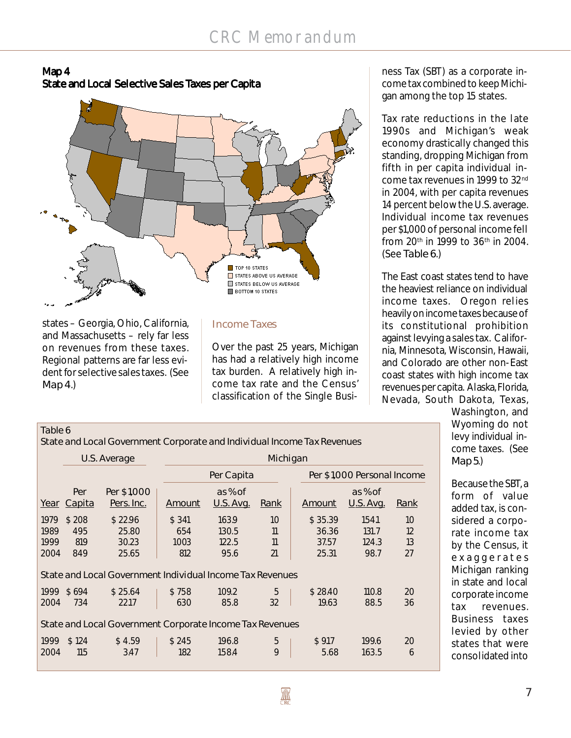



states – Georgia, Ohio, California, and Massachusetts – rely far less on revenues from these taxes. Regional patterns are far less evident for selective sales taxes. (See Map 4.)

 $T$ ahle 6

#### **Income Taxes**

Over the past 25 years, Michigan has had a relatively high income tax burden. A relatively high income tax rate and the Census' classification of the Single Busi-

ness Tax (SBT) as a corporate income tax combined to keep Michigan among the top 15 states.

Tax rate reductions in the late 1990s and Michigan's weak economy drastically changed this standing, dropping Michigan from fifth in per capita individual income tax revenues in 1999 to 32nd in 2004, with per capita revenues 14 percent below the U.S. average. Individual income tax revenues per \$1,000 of personal income fell from 20<sup>th</sup> in 1999 to 36<sup>th</sup> in 2004. (See Table 6.)

The East coast states tend to have the heaviest reliance on individual income taxes. Oregon relies heavily on income taxes because of its constitutional prohibition against levying a sales tax. California, Minnesota, Wisconsin, Hawaii, and Colorado are other non-East coast states with high income tax revenues per capita. Alaska, Florida, Nevada, South Dakota, Texas,

> Washington, and Wyoming do not levy individual income taxes. (See Map 5.)

Because the SBT, a form of value added tax, is considered a corporate income tax by the Census, it exaggerates Michigan ranking in state and local corporate income tax revenues. Business taxes levied by other states that were consolidated into

|                              |                            | State and Local Government Corporate and Individual Income Tax Revenues |                             |                                 |                      |  |                                    |                                 |                      |  |  |  |  |  |
|------------------------------|----------------------------|-------------------------------------------------------------------------|-----------------------------|---------------------------------|----------------------|--|------------------------------------|---------------------------------|----------------------|--|--|--|--|--|
|                              |                            | U.S. Average                                                            |                             | Michigan                        |                      |  |                                    |                                 |                      |  |  |  |  |  |
|                              |                            |                                                                         |                             | Per Capita                      |                      |  |                                    | Per \$1,000 Personal Income     |                      |  |  |  |  |  |
| Year                         | Per<br>Capita              | Per \$1,000<br><u>Pers. Inc.</u>                                        | Amount                      | as % of<br><u>U.S. Avg.</u>     | Rank                 |  | <b>Amount</b>                      | as % of<br><u>U.S. Avg.</u>     | <u>Rank</u>          |  |  |  |  |  |
| 1979<br>1989<br>1999<br>2004 | \$208<br>495<br>819<br>849 | \$22.96<br>25.80<br>30.23<br>25.65                                      | \$341<br>654<br>1003<br>812 | 163.9<br>130.5<br>122.5<br>95.6 | 10<br>11<br>11<br>21 |  | \$35.39<br>36.36<br>37.57<br>25.31 | 154.1<br>131.7<br>124.3<br>98.7 | 10<br>12<br>13<br>27 |  |  |  |  |  |
|                              |                            | State and Local Government Individual Income Tax Revenues               |                             |                                 |                      |  |                                    |                                 |                      |  |  |  |  |  |
| 1999<br>2004                 | \$694<br>734               | \$25.64<br>22.17                                                        | \$758<br>630                | 109.2<br>85.8                   | 5<br>32              |  | \$28.40<br>19.63                   | 110.8<br>88.5                   | 20<br>36             |  |  |  |  |  |
|                              |                            | State and Local Government Corporate Income Tax Revenues                |                             |                                 |                      |  |                                    |                                 |                      |  |  |  |  |  |
| 1999<br>2004                 | \$124<br>115               | \$4.59<br>3.47                                                          | \$245<br>182                | 196.8<br>158.4                  | 5<br>9               |  | \$9.17<br>5.68                     | 199.6<br>163.5                  | 20<br>6              |  |  |  |  |  |